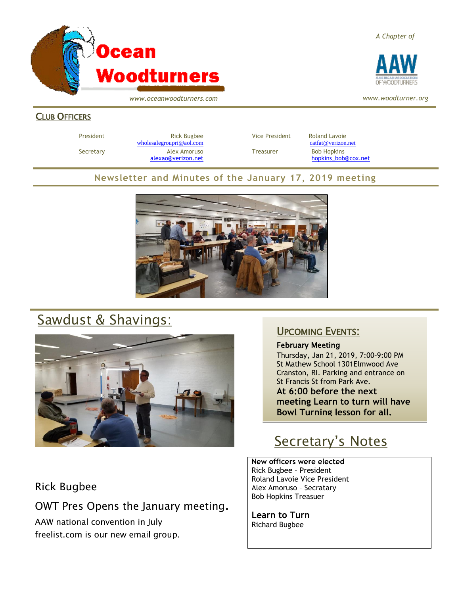

*A Chapter of*



*www.woodturner.org*

*www.oceanwoodturners.com*

#### CLUB OFFICERS

President **Rick Bugbee Rick Bugbee Vice President** Roland Lavoie [wholesalegroupri@aol.com](mailto:wholesalegroupri@aol.com) [catfat@verizon.net](mailto:catfat@verizon.net) Secretary **Alex Amoruso Treasurer** Bob Hopkins

[alexao@verizon.net](mailto:alexao@verizon.net) [hopkins\\_bob@cox.net](mailto:hopkins_bob@cox.net)

### **Newsletter and Minutes of the January 17, 2019 meeting**



# Sawdust & Shavings:



## Rick Bugbee

OWT Pres Opens the January meeting. AAW national convention in July freelist.com is our new email group.

## UPCOMING EVENTS:

February Meeting

Thursday, Jan 21, 2019, 7:00–9:00 PM St Mathew School 1301Elmwood Ave Cranston, RI. Parking and entrance on St Francis St from Park Ave. **At 6:00 before the next meeting Learn to turn will have Bowl Turning lesson for all.**

# Secretary's Notes

**New officers were elected**  Rick Bugbee – President Roland Lavoie Vice President Alex Amoruso – Secratary Bob Hopkins Treasuer

**Learn to Turn** Richard Bugbee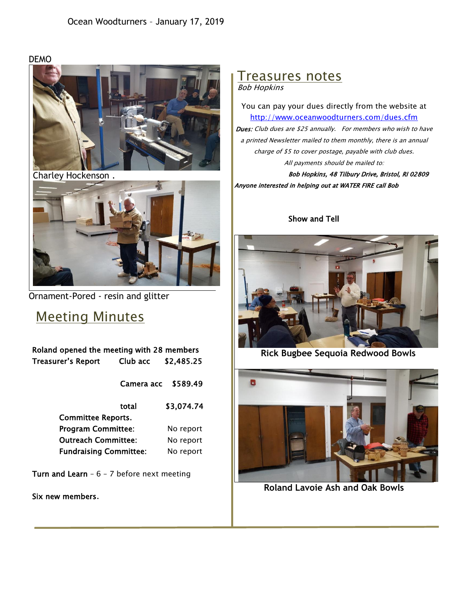DEMO



Charley Hockenson .



Ornament-Pored - resin and glitter

## Meeting Minutes

| Roland opened the meeting with 28 members |            |            |
|-------------------------------------------|------------|------------|
| Treasurer's Report                        | Club acc   | \$2,485.25 |
|                                           | Camera acc | \$589.49   |
|                                           | total      | \$3,074.74 |
| <b>Committee Reports.</b>                 |            |            |
| <b>Program Committee:</b>                 |            | No report  |
| <b>Outreach Committee:</b>                |            | No report  |
| <b>Fundraising Committee:</b>             |            | No report  |

Turn and Learn -  $6 - 7$  before next meeting

Six new members.

### Treasures notes Bob Hopkins

You can pay your dues directly from the website at <http://www.oceanwoodturners.com/dues.cfm> Dues: Club dues are \$25 annually. For members who wish to have a printed Newsletter mailed to them monthly, there is an annual charge of \$5 to cover postage, payable with club dues. All payments should be mailed to: Bob Hopkins, 48 Tilbury Drive, Bristol, RI 02809

Show and Tell

Anyone interested in helping out at WATER FIRE call Bob



**Rick Bugbee Sequoia Redwood Bowls**



**Roland Lavoie Ash and Oak Bowls**